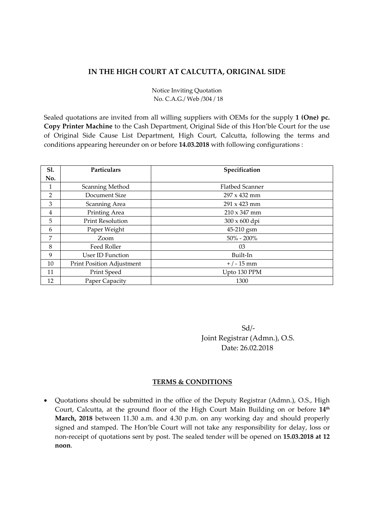## **IN THE HIGH COURT AT CALCUTTA, ORIGINAL SIDE**

Notice Inviting Quotation No. C.A.G./ Web /304 / 18

Sealed quotations are invited from all willing suppliers with OEMs for the supply **1 (One) pc. Copy Printer Machine** to the Cash Department, Original Side of this Hon'ble Court for the use of Original Side Cause List Department, High Court, Calcutta, following the terms and conditions appearing hereunder on or before **14.03.2018** with following configurations :

| Sl. | Particulars               | Specification          |
|-----|---------------------------|------------------------|
| No. |                           |                        |
| 1   | Scanning Method           | <b>Flatbed Scanner</b> |
| 2   | Document Size             | $297 \times 432$ mm    |
| 3   | Scanning Area             | $291 \times 423$ mm    |
| 4   | Printing Area             | $210 \times 347$ mm    |
| 5   | <b>Print Resolution</b>   | 300 x 600 dpi          |
| 6   | Paper Weight              | 45-210 gsm             |
| 7   | Zoom                      | $50\% - 200\%$         |
| 8   | Feed Roller               | 03                     |
| 9   | User ID Function          | Built-In               |
| 10  | Print Position Adjustment | $+/-15$ mm             |
| 11  | Print Speed               | Upto 130 PPM           |
| 12  | Paper Capacity            | 1300                   |

 Sd/‐ Joint Registrar (Admn.), O.S. Date: 26.02.2018

## **TERMS & CONDITIONS**

• Quotations should be submitted in the office of the Deputy Registrar (Admn.), O.S., High Court, Calcutta, at the ground floor of the High Court Main Building on or before **14th March, 2018** between 11.30 a.m. and 4.30 p.m. on any working day and should properly signed and stamped. The Hon'ble Court will not take any responsibility for delay, loss or non‐receipt of quotations sent by post. The sealed tender will be opened on **15.03.2018 at 12 noon**.